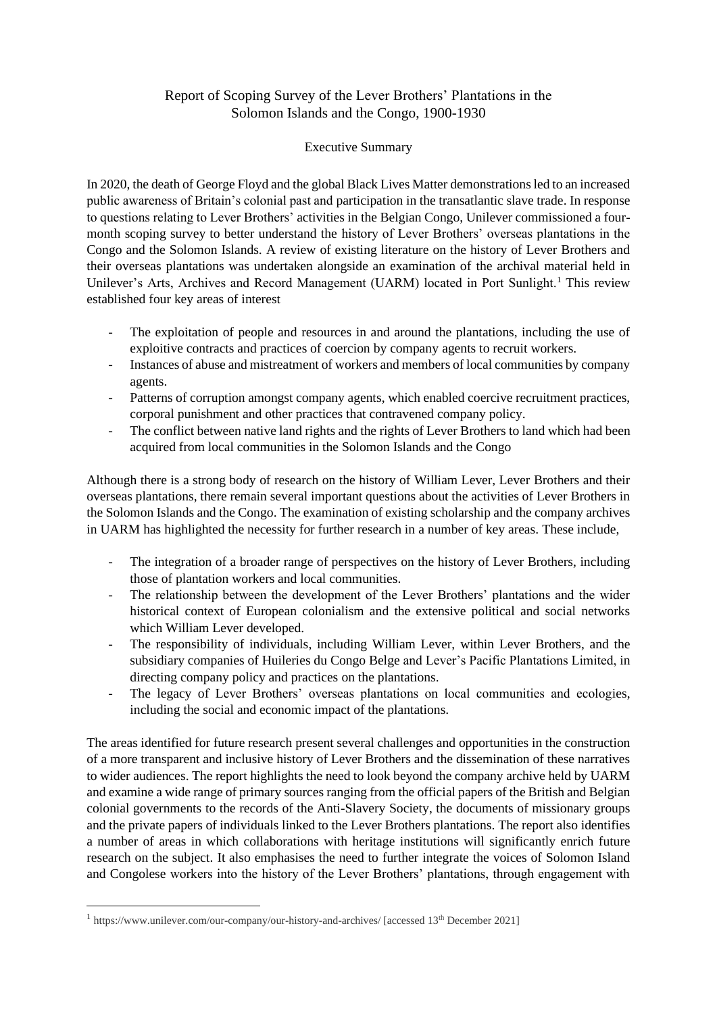## Report of Scoping Survey of the Lever Brothers' Plantations in the Solomon Islands and the Congo, 1900-1930

## Executive Summary

In 2020, the death of George Floyd and the global Black Lives Matter demonstrations led to an increased public awareness of Britain's colonial past and participation in the transatlantic slave trade. In response to questions relating to Lever Brothers' activities in the Belgian Congo, Unilever commissioned a fourmonth scoping survey to better understand the history of Lever Brothers' overseas plantations in the Congo and the Solomon Islands. A review of existing literature on the history of Lever Brothers and their overseas plantations was undertaken alongside an examination of the archival material held in Unilever's Arts, Archives and Record Management (UARM) located in Port Sunlight.<sup>1</sup> This review established four key areas of interest

- The exploitation of people and resources in and around the plantations, including the use of exploitive contracts and practices of coercion by company agents to recruit workers.
- Instances of abuse and mistreatment of workers and members of local communities by company agents.
- Patterns of corruption amongst company agents, which enabled coercive recruitment practices, corporal punishment and other practices that contravened company policy.
- The conflict between native land rights and the rights of Lever Brothers to land which had been acquired from local communities in the Solomon Islands and the Congo

Although there is a strong body of research on the history of William Lever, Lever Brothers and their overseas plantations, there remain several important questions about the activities of Lever Brothers in the Solomon Islands and the Congo. The examination of existing scholarship and the company archives in UARM has highlighted the necessity for further research in a number of key areas. These include,

- The integration of a broader range of perspectives on the history of Lever Brothers, including those of plantation workers and local communities.
- The relationship between the development of the Lever Brothers' plantations and the wider historical context of European colonialism and the extensive political and social networks which William Lever developed.
- The responsibility of individuals, including William Lever, within Lever Brothers, and the subsidiary companies of Huileries du Congo Belge and Lever's Pacific Plantations Limited, in directing company policy and practices on the plantations.
- The legacy of Lever Brothers' overseas plantations on local communities and ecologies, including the social and economic impact of the plantations.

The areas identified for future research present several challenges and opportunities in the construction of a more transparent and inclusive history of Lever Brothers and the dissemination of these narratives to wider audiences. The report highlights the need to look beyond the company archive held by UARM and examine a wide range of primary sources ranging from the official papers of the British and Belgian colonial governments to the records of the Anti-Slavery Society, the documents of missionary groups and the private papers of individuals linked to the Lever Brothers plantations. The report also identifies a number of areas in which collaborations with heritage institutions will significantly enrich future research on the subject. It also emphasises the need to further integrate the voices of Solomon Island and Congolese workers into the history of the Lever Brothers' plantations, through engagement with

<sup>&</sup>lt;sup>1</sup> https://www.unilever.com/our-company/our-history-and-archives/ [accessed 13<sup>th</sup> December 2021]